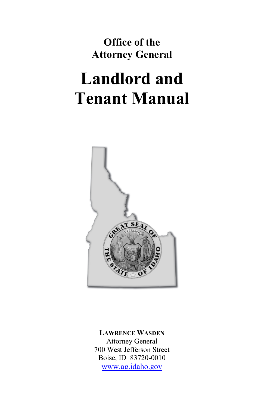**Office of the Attorney General**

# **Landlord and Tenant Manual**



**LAWRENCE WASDEN** Attorney General 700 West Jefferson Street Boise, ID 83720-0010 [www.ag.idaho.gov](http://www.ag.idaho.gov/)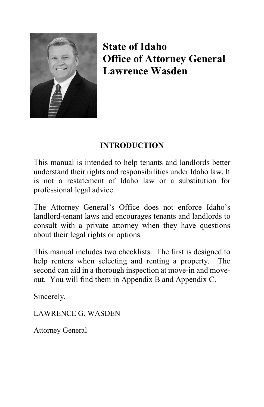

**State of Idaho Office of Attorney General Lawrence Wasden**

# **INTRODUCTION**

This manual is intended to help tenants and landlords better understand their rights and responsibilities under Idaho law. It is not a restatement of Idaho law or a substitution for professional legal advice.

The Attorney General's Office does not enforce Idaho's landlord-tenant laws and encourages tenants and landlords to consult with a private attorney when they have questions about their legal rights or options.

This manual includes two checklists. The first is designed to help renters when selecting and renting a property. The second can aid in a thorough inspection at move-in and moveout. You will find them in Appendix B and Appendix C.

Sincerely,

LAWRENCE G. WASDEN

Attorney General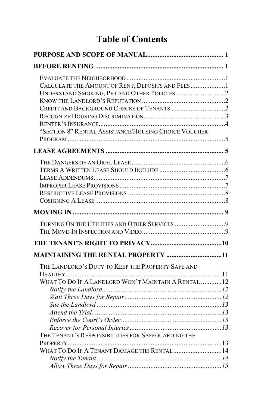# **Table of Contents**

| CALCULATE THE AMOUNT OF RENT, DEPOSITS AND FEES 1<br>"SECTION 8" RENTAL ASSISTANCE/HOUSING CHOICE VOUCHER |  |
|-----------------------------------------------------------------------------------------------------------|--|
|                                                                                                           |  |
|                                                                                                           |  |
|                                                                                                           |  |
| TURNING ON THE UTILITIES AND OTHER SERVICES 9                                                             |  |
|                                                                                                           |  |
| MAINTAINING THE RENTAL PROPERTY 11                                                                        |  |
| THE LANDLORD'S DUTY TO KEEP THE PROPERTY SAFE AND<br>WHAT TO DO IF A LANDLORD WON'T MAINTAIN A RENTAL  12 |  |
| THE TENANT'S RESPONSIBILITIES FOR SAFEGUARDING THE                                                        |  |
| WHAT TO DO IF A TENANT DAMAGE THE RENTAL  14                                                              |  |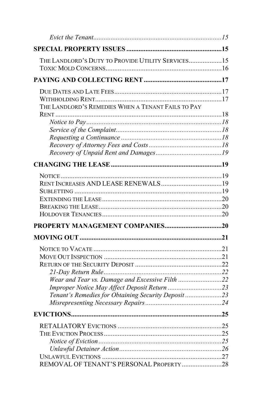| THE LANDLORD'S DUTY TO PROVIDE UTILITY SERVICES15                                                     |
|-------------------------------------------------------------------------------------------------------|
|                                                                                                       |
| THE LANDLORD'S REMEDIES WHEN A TENANT FAILS TO PAY                                                    |
|                                                                                                       |
|                                                                                                       |
|                                                                                                       |
|                                                                                                       |
| Wear and Tear vs. Damage and Excessive Filth 22<br>Tenant's Remedies for Obtaining Security Deposit23 |
|                                                                                                       |
| REMOVAL OF TENANT'S PERSONAL PROPERTY 28                                                              |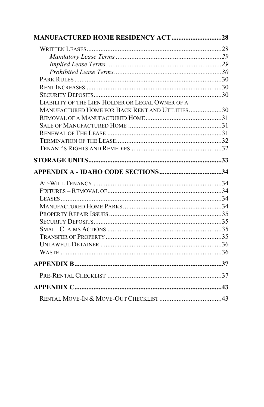| <b>MANUFACTURED HOME RESIDENCY ACT 28</b>        |  |
|--------------------------------------------------|--|
|                                                  |  |
|                                                  |  |
|                                                  |  |
|                                                  |  |
|                                                  |  |
|                                                  |  |
|                                                  |  |
| LIABILITY OF THE LIEN HOLDER OR LEGAL OWNER OF A |  |
| MANUFACTURED HOME FOR BACK RENT AND UTILITIES30  |  |
|                                                  |  |
|                                                  |  |
|                                                  |  |
|                                                  |  |
|                                                  |  |
|                                                  |  |
|                                                  |  |
|                                                  |  |
|                                                  |  |
|                                                  |  |
|                                                  |  |
|                                                  |  |
|                                                  |  |
|                                                  |  |
|                                                  |  |
|                                                  |  |
|                                                  |  |
|                                                  |  |
|                                                  |  |
|                                                  |  |
|                                                  |  |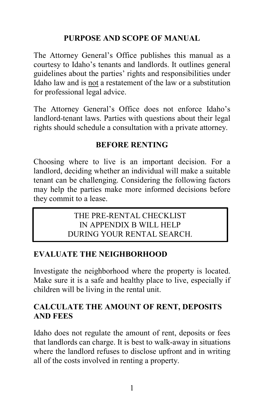#### **PURPOSE AND SCOPE OF MANUAL**

<span id="page-5-0"></span>The Attorney General's Office publishes this manual as a courtesy to Idaho's tenants and landlords. It outlines general guidelines about the parties' rights and responsibilities under Idaho law and is not a restatement of the law or a substitution for professional legal advice.

The Attorney General's Office does not enforce Idaho's landlord-tenant laws. Parties with questions about their legal rights should schedule a consultation with a private attorney.

#### **BEFORE RENTING**

<span id="page-5-1"></span>Choosing where to live is an important decision. For a landlord, deciding whether an individual will make a suitable tenant can be challenging. Considering the following factors may help the parties make more informed decisions before they commit to a lease.

#### THE PRE-RENTAL CHECKLIST IN APPENDIX B WILL HELP DURING YOUR RENTAL SEARCH.

#### <span id="page-5-2"></span>**EVALUATE THE NEIGHBORHOOD**

Investigate the neighborhood where the property is located. Make sure it is a safe and healthy place to live, especially if children will be living in the rental unit.

#### <span id="page-5-3"></span>**CALCULATE THE AMOUNT OF RENT, DEPOSITS AND FEES**

Idaho does not regulate the amount of rent, deposits or fees that landlords can charge. It is best to walk-away in situations where the landlord refuses to disclose upfront and in writing all of the costs involved in renting a property.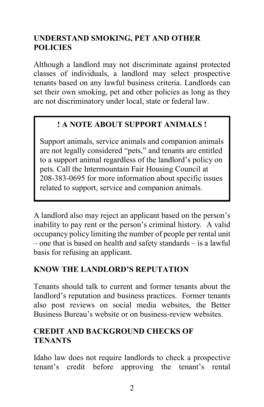# <span id="page-6-0"></span>**UNDERSTAND SMOKING, PET AND OTHER POLICIES**

Although a landlord may not discriminate against protected classes of individuals, a landlord may select prospective tenants based on any lawful business criteria. Landlords can set their own smoking, pet and other policies as long as they are not discriminatory under local, state or federal law.

# **! A NOTE ABOUT SUPPORT ANIMALS !**

Support animals, service animals and companion animals are not legally considered "pets," and tenants are entitled to a support animal regardless of the landlord's policy on pets. Call the Intermountain Fair Housing Council at 208-383-0695 for more information about specific issues related to support, service and companion animals.

A landlord also may reject an applicant based on the person's inability to pay rent or the person's criminal history. A valid occupancy policy limiting the number of people per rental unit – one that is based on health and safety standards – is a lawful basis for refusing an applicant.

# <span id="page-6-1"></span>**KNOW THE LANDLORD'S REPUTATION**

Tenants should talk to current and former tenants about the landlord's reputation and business practices. Former tenants also post reviews on social media websites, the Better Business Bureau's website or on business-review websites.

#### <span id="page-6-2"></span>**CREDIT AND BACKGROUND CHECKS OF TENANTS**

Idaho law does not require landlords to check a prospective tenant's credit before approving the tenant's rental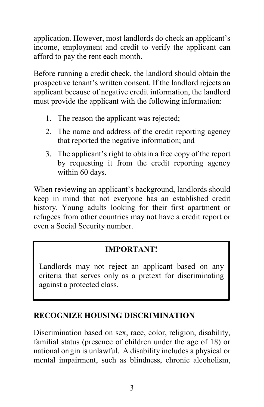application. However, most landlords do check an applicant's income, employment and credit to verify the applicant can afford to pay the rent each month.

Before running a credit check, the landlord should obtain the prospective tenant's written consent. If the landlord rejects an applicant because of negative credit information, the landlord must provide the applicant with the following information:

- 1. The reason the applicant was rejected;
- 2. The name and address of the credit reporting agency that reported the negative information; and
- 3. The applicant's right to obtain a free copy of the report by requesting it from the credit reporting agency within 60 days.

When reviewing an applicant's background, landlords should keep in mind that not everyone has an established credit history. Young adults looking for their first apartment or refugees from other countries may not have a credit report or even a Social Security number.

# **IMPORTANT!**

Landlords may not reject an applicant based on any criteria that serves only as a pretext for discriminating against a protected class.

#### <span id="page-7-0"></span>**RECOGNIZE HOUSING DISCRIMINATION**

Discrimination based on sex, race, color, religion, disability, familial status (presence of children under the age of 18) or national origin is unlawful. A disability includes a physical or mental impairment, such as blindness, chronic alcoholism,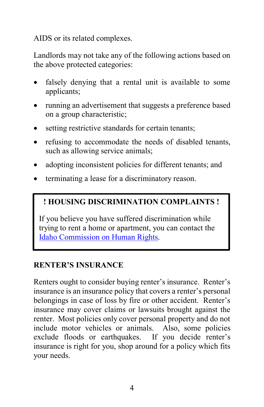AIDS or its related complexes.

Landlords may not take any of the following actions based on the above protected categories:

- falsely denying that a rental unit is available to some applicants;
- running an advertisement that suggests a preference based on a group characteristic;
- setting restrictive standards for certain tenants;
- refusing to accommodate the needs of disabled tenants, such as allowing service animals;
- adopting inconsistent policies for different tenants; and
- terminating a lease for a discriminatory reason.

# **! HOUSING DISCRIMINATION COMPLAINTS !**

If you believe you have suffered discrimination while trying to rent a home or apartment, you can contact the [Idaho Commission on Human Rights.](https://humanrights.idaho.gov/discrimination/housing.html)

#### <span id="page-8-0"></span>**RENTER'S INSURANCE**

Renters ought to consider buying renter's insurance. Renter's insurance is an insurance policy that covers a renter's personal belongings in case of loss by fire or other accident. Renter's insurance may cover claims or lawsuits brought against the renter. Most policies only cover personal property and do not include motor vehicles or animals. Also, some policies exclude floods or earthquakes. If you decide renter's insurance is right for you, shop around for a policy which fits your needs.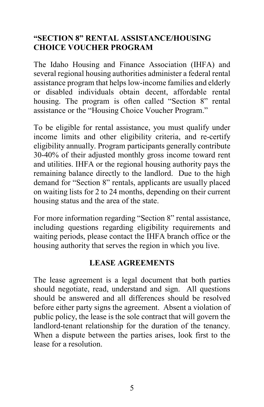#### <span id="page-9-0"></span>**"SECTION 8" RENTAL ASSISTANCE/HOUSING CHOICE VOUCHER PROGRAM**

The Idaho Housing and Finance Association (IHFA) and several regional housing authorities administer a federal rental assistance program that helps low-income families and elderly or disabled individuals obtain decent, affordable rental housing. The program is often called "Section 8" rental assistance or the "Housing Choice Voucher Program."

To be eligible for rental assistance, you must qualify under income limits and other eligibility criteria, and re-certify eligibility annually. Program participants generally contribute 30-40% of their adjusted monthly gross income toward rent and utilities. IHFA or the regional housing authority pays the remaining balance directly to the landlord. Due to the high demand for "Section 8" rentals, applicants are usually placed on waiting lists for 2 to 24 months, depending on their current housing status and the area of the state.

For more information regarding "Section 8" rental assistance, including questions regarding eligibility requirements and waiting periods, please contact the IHFA branch office or the housing authority that serves the region in which you live.

#### **LEASE AGREEMENTS**

<span id="page-9-1"></span>The lease agreement is a legal document that both parties should negotiate, read, understand and sign. All questions should be answered and all differences should be resolved before either party signs the agreement. Absent a violation of public policy, the lease is the sole contract that will govern the landlord-tenant relationship for the duration of the tenancy. When a dispute between the parties arises, look first to the lease for a resolution.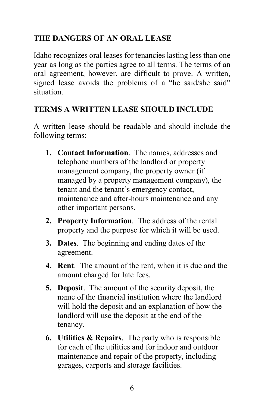# <span id="page-10-0"></span>**THE DANGERS OF AN ORAL LEASE**

Idaho recognizes oral leases for tenancies lasting less than one year as long as the parties agree to all terms. The terms of an oral agreement, however, are difficult to prove. A written, signed lease avoids the problems of a "he said/she said" situation.

# <span id="page-10-1"></span>**TERMS A WRITTEN LEASE SHOULD INCLUDE**

A written lease should be readable and should include the following terms:

- **1. Contact Information**. The names, addresses and telephone numbers of the landlord or property management company, the property owner (if managed by a property management company), the tenant and the tenant's emergency contact, maintenance and after-hours maintenance and any other important persons.
- **2. Property Information**. The address of the rental property and the purpose for which it will be used.
- **3. Dates**. The beginning and ending dates of the agreement.
- **4. Rent**. The amount of the rent, when it is due and the amount charged for late fees.
- **5. Deposit**. The amount of the security deposit, the name of the financial institution where the landlord will hold the deposit and an explanation of how the landlord will use the deposit at the end of the tenancy.
- **6. Utilities & Repairs**. The party who is responsible for each of the utilities and for indoor and outdoor maintenance and repair of the property, including garages, carports and storage facilities.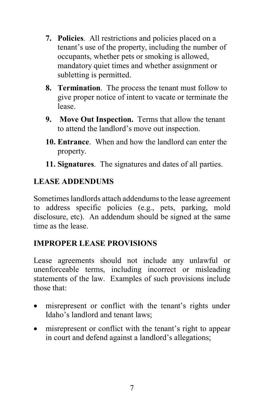- **7. Policies**. All restrictions and policies placed on a tenant's use of the property, including the number of occupants, whether pets or smoking is allowed, mandatory quiet times and whether assignment or subletting is permitted.
- **8. Termination**. The process the tenant must follow to give proper notice of intent to vacate or terminate the lease.
- **9. Move Out Inspection.** Terms that allow the tenant to attend the landlord's move out inspection.
- **10. Entrance**. When and how the landlord can enter the property.
- **11. Signatures**. The signatures and dates of all parties.

# <span id="page-11-0"></span>**LEASE ADDENDUMS**

Sometimes landlords attach addendums to the lease agreement to address specific policies (e.g., pets, parking, mold disclosure, etc). An addendum should be signed at the same time as the lease.

# <span id="page-11-1"></span>**IMPROPER LEASE PROVISIONS**

Lease agreements should not include any unlawful or unenforceable terms, including incorrect or misleading statements of the law. Examples of such provisions include those that:

- misrepresent or conflict with the tenant's rights under Idaho's landlord and tenant laws;
- misrepresent or conflict with the tenant's right to appear in court and defend against a landlord's allegations;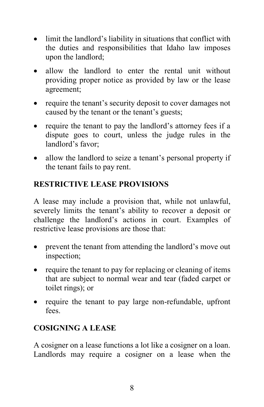- limit the landlord's liability in situations that conflict with the duties and responsibilities that Idaho law imposes upon the landlord;
- allow the landlord to enter the rental unit without providing proper notice as provided by law or the lease agreement;
- require the tenant's security deposit to cover damages not caused by the tenant or the tenant's guests;
- require the tenant to pay the landlord's attorney fees if a dispute goes to court, unless the judge rules in the landlord's favor;
- allow the landlord to seize a tenant's personal property if the tenant fails to pay rent.

# <span id="page-12-0"></span>**RESTRICTIVE LEASE PROVISIONS**

A lease may include a provision that, while not unlawful, severely limits the tenant's ability to recover a deposit or challenge the landlord's actions in court. Examples of restrictive lease provisions are those that:

- prevent the tenant from attending the landlord's move out inspection;
- require the tenant to pay for replacing or cleaning of items that are subject to normal wear and tear (faded carpet or toilet rings); or
- require the tenant to pay large non-refundable, upfront fees.

# <span id="page-12-1"></span>**COSIGNING A LEASE**

A cosigner on a lease functions a lot like a cosigner on a loan. Landlords may require a cosigner on a lease when the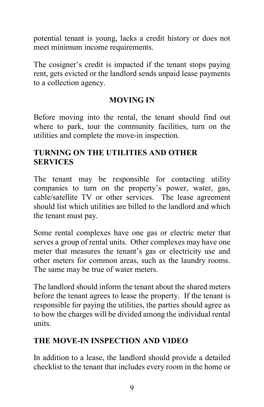potential tenant is young, lacks a credit history or does not meet minimum income requirements.

The cosigner's credit is impacted if the tenant stops paying rent, gets evicted or the landlord sends unpaid lease payments to a collection agency.

#### **MOVING IN**

<span id="page-13-0"></span>Before moving into the rental, the tenant should find out where to park, tour the community facilities, turn on the utilities and complete the move-in inspection.

#### <span id="page-13-1"></span>**TURNING ON THE UTILITIES AND OTHER SERVICES**

The tenant may be responsible for contacting utility companies to turn on the property's power, water, gas, cable/satellite TV or other services. The lease agreement should list which utilities are billed to the landlord and which the tenant must pay.

Some rental complexes have one gas or electric meter that serves a group of rental units. Other complexes may have one meter that measures the tenant's gas or electricity use and other meters for common areas, such as the laundry rooms. The same may be true of water meters.

The landlord should inform the tenant about the shared meters before the tenant agrees to lease the property. If the tenant is responsible for paying the utilities, the parties should agree as to how the charges will be divided among the individual rental units.

# <span id="page-13-2"></span>**THE MOVE-IN INSPECTION AND VIDEO**

In addition to a lease, the landlord should provide a detailed checklist to the tenant that includes every room in the home or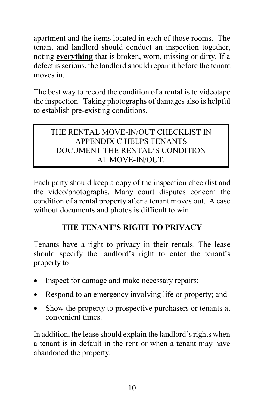apartment and the items located in each of those rooms. The tenant and landlord should conduct an inspection together, noting **everything** that is broken, worn, missing or dirty. If a defect is serious, the landlord should repair it before the tenant moves in.

The best way to record the condition of a rental is to videotape the inspection. Taking photographs of damages also is helpful to establish pre-existing conditions.

# THE RENTAL MOVE-IN/OUT CHECKLIST IN APPENDIX C HELPS TENANTS DOCUMENT THE RENTAL'S CONDITION AT MOVE-IN/OUT.

Each party should keep a copy of the inspection checklist and the video/photographs. Many court disputes concern the condition of a rental property after a tenant moves out. A case without documents and photos is difficult to win.

# **THE TENANT'S RIGHT TO PRIVACY**

<span id="page-14-0"></span>Tenants have a right to privacy in their rentals. The lease should specify the landlord's right to enter the tenant's property to:

- Inspect for damage and make necessary repairs;
- Respond to an emergency involving life or property; and
- Show the property to prospective purchasers or tenants at convenient times.

In addition, the lease should explain the landlord's rights when a tenant is in default in the rent or when a tenant may have abandoned the property.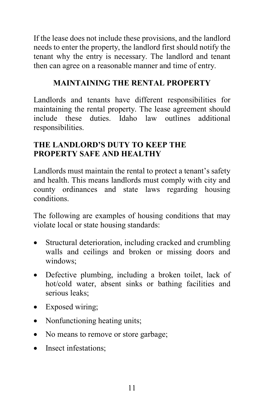If the lease does not include these provisions, and the landlord needs to enter the property, the landlord first should notify the tenant why the entry is necessary. The landlord and tenant then can agree on a reasonable manner and time of entry.

# **MAINTAINING THE RENTAL PROPERTY**

<span id="page-15-0"></span>Landlords and tenants have different responsibilities for maintaining the rental property. The lease agreement should include these duties. Idaho law outlines additional responsibilities.

# <span id="page-15-1"></span>**THE LANDLORD'S DUTY TO KEEP THE PROPERTY SAFE AND HEALTHY**

Landlords must maintain the rental to protect a tenant's safety and health. This means landlords must comply with city and county ordinances and state laws regarding housing conditions.

The following are examples of housing conditions that may violate local or state housing standards:

- Structural deterioration, including cracked and crumbling walls and ceilings and broken or missing doors and windows;
- Defective plumbing, including a broken toilet, lack of hot/cold water, absent sinks or bathing facilities and serious leaks;
- Exposed wiring;
- Nonfunctioning heating units;
- No means to remove or store garbage;
- Insect infestations: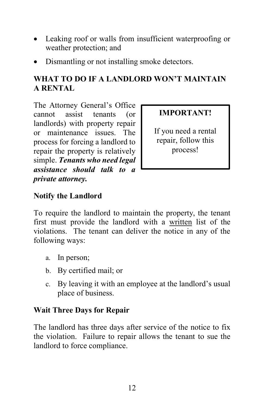- Leaking roof or walls from insufficient waterproofing or weather protection; and
- Dismantling or not installing smoke detectors.

# <span id="page-16-0"></span>**WHAT TO DO IF A LANDLORD WON'T MAINTAIN A RENTAL**

The Attorney General's Office cannot assist tenants (or landlords) with property repair or maintenance issues. The process for forcing a landlord to repair the property is relatively simple. *Tenants who need legal assistance should talk to a private attorney.*

# **IMPORTANT!**

If you need a rental repair, follow this process!

# <span id="page-16-1"></span>**Notify the Landlord**

To require the landlord to maintain the property, the tenant first must provide the landlord with a written list of the violations. The tenant can deliver the notice in any of the following ways:

- a. In person;
- b. By certified mail; or
- c. By leaving it with an employee at the landlord's usual place of business.

# <span id="page-16-2"></span>**Wait Three Days for Repair**

The landlord has three days after service of the notice to fix the violation. Failure to repair allows the tenant to sue the landlord to force compliance.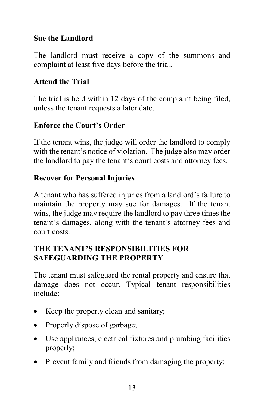#### <span id="page-17-0"></span>**Sue the Landlord**

The landlord must receive a copy of the summons and complaint at least five days before the trial.

#### <span id="page-17-1"></span>**Attend the Trial**

The trial is held within 12 days of the complaint being filed, unless the tenant requests a later date.

# <span id="page-17-2"></span>**Enforce the Court's Order**

If the tenant wins, the judge will order the landlord to comply with the tenant's notice of violation. The judge also may order the landlord to pay the tenant's court costs and attorney fees.

# <span id="page-17-3"></span>**Recover for Personal Injuries**

A tenant who has suffered injuries from a landlord's failure to maintain the property may sue for damages. If the tenant wins, the judge may require the landlord to pay three times the tenant's damages, along with the tenant's attorney fees and court costs.

# <span id="page-17-4"></span>**THE TENANT'S RESPONSIBILITIES FOR SAFEGUARDING THE PROPERTY**

The tenant must safeguard the rental property and ensure that damage does not occur. Typical tenant responsibilities include:

- Keep the property clean and sanitary;
- Properly dispose of garbage;
- Use appliances, electrical fixtures and plumbing facilities properly;
- Prevent family and friends from damaging the property;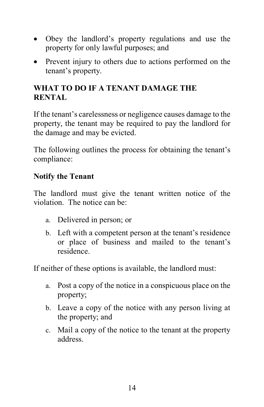- Obey the landlord's property regulations and use the property for only lawful purposes; and
- Prevent injury to others due to actions performed on the tenant's property.

# <span id="page-18-0"></span>**WHAT TO DO IF A TENANT DAMAGE THE RENTAL**

If the tenant's carelessness or negligence causes damage to the property, the tenant may be required to pay the landlord for the damage and may be evicted.

The following outlines the process for obtaining the tenant's compliance:

#### <span id="page-18-1"></span>**Notify the Tenant**

The landlord must give the tenant written notice of the violation. The notice can be:

- a. Delivered in person; or
- b. Left with a competent person at the tenant's residence or place of business and mailed to the tenant's residence.

If neither of these options is available, the landlord must:

- a. Post a copy of the notice in a conspicuous place on the property;
- b. Leave a copy of the notice with any person living at the property; and
- c. Mail a copy of the notice to the tenant at the property address.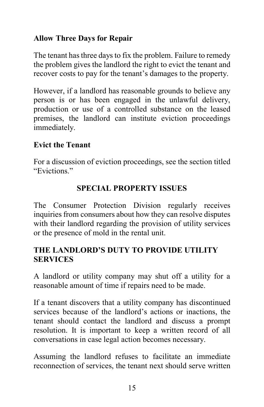#### <span id="page-19-0"></span>**Allow Three Days for Repair**

The tenant has three days to fix the problem. Failure to remedy the problem gives the landlord the right to evict the tenant and recover costs to pay for the tenant's damages to the property.

However, if a landlord has reasonable grounds to believe any person is or has been engaged in the unlawful delivery, production or use of a controlled substance on the leased premises, the landlord can institute eviction proceedings immediately.

# <span id="page-19-1"></span>**Evict the Tenant**

For a discussion of eviction proceedings, see the section titled "Evictions."

# **SPECIAL PROPERTY ISSUES**

<span id="page-19-2"></span>The Consumer Protection Division regularly receives inquiries from consumers about how they can resolve disputes with their landlord regarding the provision of utility services or the presence of mold in the rental unit.

# <span id="page-19-3"></span>**THE LANDLORD'S DUTY TO PROVIDE UTILITY SERVICES**

A landlord or utility company may shut off a utility for a reasonable amount of time if repairs need to be made.

If a tenant discovers that a utility company has discontinued services because of the landlord's actions or inactions, the tenant should contact the landlord and discuss a prompt resolution. It is important to keep a written record of all conversations in case legal action becomes necessary.

Assuming the landlord refuses to facilitate an immediate reconnection of services, the tenant next should serve written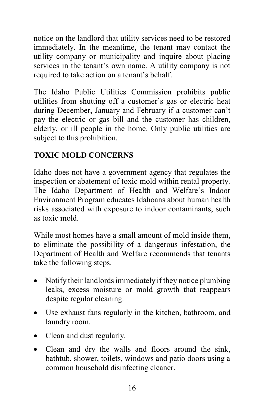notice on the landlord that utility services need to be restored immediately. In the meantime, the tenant may contact the utility company or municipality and inquire about placing services in the tenant's own name. A utility company is not required to take action on a tenant's behalf.

The Idaho Public Utilities Commission prohibits public utilities from shutting off a customer's gas or electric heat during December, January and February if a customer can't pay the electric or gas bill and the customer has children, elderly, or ill people in the home. Only public utilities are subject to this prohibition.

# <span id="page-20-0"></span>**TOXIC MOLD CONCERNS**

Idaho does not have a government agency that regulates the inspection or abatement of toxic mold within rental property. The Idaho Department of Health and Welfare's Indoor Environment Program educates Idahoans about human health risks associated with exposure to indoor contaminants, such as toxic mold.

While most homes have a small amount of mold inside them, to eliminate the possibility of a dangerous infestation, the Department of Health and Welfare recommends that tenants take the following steps.

- Notify their landlords immediately if they notice plumbing leaks, excess moisture or mold growth that reappears despite regular cleaning.
- Use exhaust fans regularly in the kitchen, bathroom, and laundry room.
- Clean and dust regularly.
- Clean and dry the walls and floors around the sink, bathtub, shower, toilets, windows and patio doors using a common household disinfecting cleaner.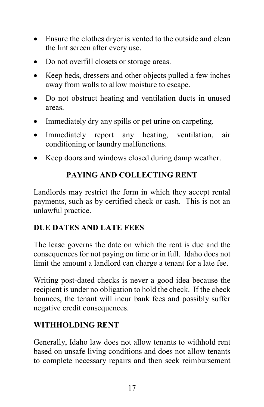- Ensure the clothes dryer is vented to the outside and clean the lint screen after every use.
- Do not overfill closets or storage areas.
- Keep beds, dressers and other objects pulled a few inches away from walls to allow moisture to escape.
- Do not obstruct heating and ventilation ducts in unused areas.
- Immediately dry any spills or pet urine on carpeting.
- Immediately report any heating, ventilation, air conditioning or laundry malfunctions.
- <span id="page-21-0"></span>• Keep doors and windows closed during damp weather.

# **PAYING AND COLLECTING RENT**

Landlords may restrict the form in which they accept rental payments, such as by certified check or cash. This is not an unlawful practice.

# <span id="page-21-1"></span>**DUE DATES AND LATE FEES**

The lease governs the date on which the rent is due and the consequences for not paying on time or in full. Idaho does not limit the amount a landlord can charge a tenant for a late fee.

Writing post-dated checks is never a good idea because the recipient is under no obligation to hold the check. If the check bounces, the tenant will incur bank fees and possibly suffer negative credit consequences.

# <span id="page-21-2"></span>**WITHHOLDING RENT**

Generally, Idaho law does not allow tenants to withhold rent based on unsafe living conditions and does not allow tenants to complete necessary repairs and then seek reimbursement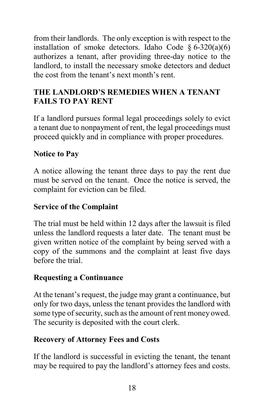from their landlords. The only exception is with respect to the installation of smoke detectors. Idaho Code  $\S 6-320(a)(6)$ authorizes a tenant, after providing three-day notice to the landlord, to install the necessary smoke detectors and deduct the cost from the tenant's next month's rent.

# <span id="page-22-0"></span>**THE LANDLORD'S REMEDIES WHEN A TENANT FAILS TO PAY RENT**

If a landlord pursues formal legal proceedings solely to evict a tenant due to nonpayment of rent, the legal proceedings must proceed quickly and in compliance with proper procedures.

#### <span id="page-22-1"></span>**Notice to Pay**

A notice allowing the tenant three days to pay the rent due must be served on the tenant. Once the notice is served, the complaint for eviction can be filed.

#### <span id="page-22-2"></span>**Service of the Complaint**

The trial must be held within 12 days after the lawsuit is filed unless the landlord requests a later date. The tenant must be given written notice of the complaint by being served with a copy of the summons and the complaint at least five days before the trial.

# <span id="page-22-3"></span>**Requesting a Continuance**

At the tenant's request, the judge may grant a continuance, but only for two days, unless the tenant provides the landlord with some type of security, such as the amount of rent money owed. The security is deposited with the court clerk.

# <span id="page-22-4"></span>**Recovery of Attorney Fees and Costs**

If the landlord is successful in evicting the tenant, the tenant may be required to pay the landlord's attorney fees and costs.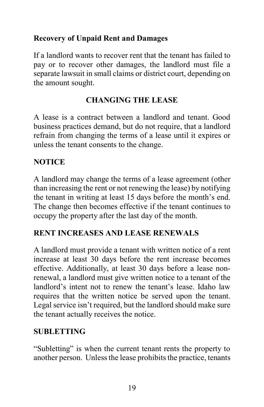# <span id="page-23-0"></span>**Recovery of Unpaid Rent and Damages**

If a landlord wants to recover rent that the tenant has failed to pay or to recover other damages, the landlord must file a separate lawsuit in small claims or district court, depending on the amount sought.

# **CHANGING THE LEASE**

<span id="page-23-1"></span>A lease is a contract between a landlord and tenant. Good business practices demand, but do not require, that a landlord refrain from changing the terms of a lease until it expires or unless the tenant consents to the change.

#### <span id="page-23-2"></span>**NOTICE**

A landlord may change the terms of a lease agreement (other than increasing the rent or not renewing the lease) by notifying the tenant in writing at least 15 days before the month's end. The change then becomes effective if the tenant continues to occupy the property after the last day of the month.

#### <span id="page-23-3"></span>**RENT INCREASES AND LEASE RENEWALS**

A landlord must provide a tenant with written notice of a rent increase at least 30 days before the rent increase becomes effective. Additionally, at least 30 days before a lease nonrenewal, a landlord must give written notice to a tenant of the landlord's intent not to renew the tenant's lease. Idaho law requires that the written notice be served upon the tenant. Legal service isn't required, but the landlord should make sure the tenant actually receives the notice.

#### <span id="page-23-4"></span>**SUBLETTING**

"Subletting" is when the current tenant rents the property to another person. Unless the lease prohibits the practice, tenants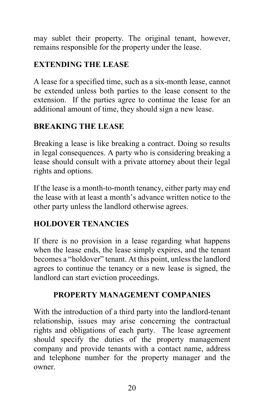may sublet their property. The original tenant, however, remains responsible for the property under the lease.

# <span id="page-24-0"></span>**EXTENDING THE LEASE**

A lease for a specified time, such as a six-month lease, cannot be extended unless both parties to the lease consent to the extension. If the parties agree to continue the lease for an additional amount of time, they should sign a new lease.

# <span id="page-24-1"></span>**BREAKING THE LEASE**

Breaking a lease is like breaking a contract. Doing so results in legal consequences. A party who is considering breaking a lease should consult with a private attorney about their legal rights and options.

If the lease is a month-to-month tenancy, either party may end the lease with at least a month's advance written notice to the other party unless the landlord otherwise agrees.

# <span id="page-24-2"></span>**HOLDOVER TENANCIES**

If there is no provision in a lease regarding what happens when the lease ends, the lease simply expires, and the tenant becomes a "holdover" tenant. At this point, unless the landlord agrees to continue the tenancy or a new lease is signed, the landlord can start eviction proceedings.

# **PROPERTY MANAGEMENT COMPANIES**

<span id="page-24-3"></span>With the introduction of a third party into the landlord-tenant relationship, issues may arise concerning the contractual rights and obligations of each party. The lease agreement should specify the duties of the property management company and provide tenants with a contact name, address and telephone number for the property manager and the owner.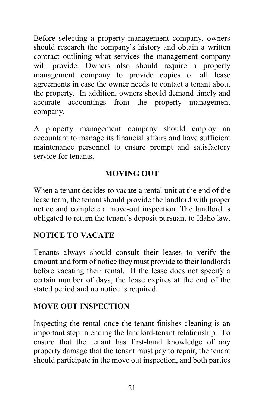Before selecting a property management company, owners should research the company's history and obtain a written contract outlining what services the management company will provide. Owners also should require a property management company to provide copies of all lease agreements in case the owner needs to contact a tenant about the property. In addition, owners should demand timely and accurate accountings from the property management company.

A property management company should employ an accountant to manage its financial affairs and have sufficient maintenance personnel to ensure prompt and satisfactory service for tenants.

#### **MOVING OUT**

<span id="page-25-0"></span>When a tenant decides to vacate a rental unit at the end of the lease term, the tenant should provide the landlord with proper notice and complete a move-out inspection. The landlord is obligated to return the tenant's deposit pursuant to Idaho law.

# <span id="page-25-1"></span>**NOTICE TO VACATE**

Tenants always should consult their leases to verify the amount and form of notice they must provide to their landlords before vacating their rental. If the lease does not specify a certain number of days, the lease expires at the end of the stated period and no notice is required.

#### <span id="page-25-2"></span>**MOVE OUT INSPECTION**

Inspecting the rental once the tenant finishes cleaning is an important step in ending the landlord-tenant relationship. To ensure that the tenant has first-hand knowledge of any property damage that the tenant must pay to repair, the tenant should participate in the move out inspection, and both parties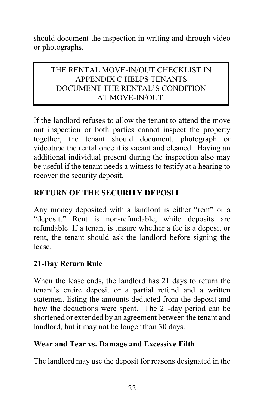should document the inspection in writing and through video or photographs.

#### THE RENTAL MOVE-IN/OUT CHECKLIST IN APPENDIX C HELPS TENANTS DOCUMENT THE RENTAL'S CONDITION AT MOVE-IN/OUT.

If the landlord refuses to allow the tenant to attend the move out inspection or both parties cannot inspect the property together, the tenant should document, photograph or videotape the rental once it is vacant and cleaned. Having an additional individual present during the inspection also may be useful if the tenant needs a witness to testify at a hearing to recover the security deposit.

# <span id="page-26-0"></span>**RETURN OF THE SECURITY DEPOSIT**

Any money deposited with a landlord is either "rent" or a "deposit." Rent is non-refundable, while deposits are refundable. If a tenant is unsure whether a fee is a deposit or rent, the tenant should ask the landlord before signing the lease.

# <span id="page-26-1"></span>**21-Day Return Rule**

When the lease ends, the landlord has 21 days to return the tenant's entire deposit or a partial refund and a written statement listing the amounts deducted from the deposit and how the deductions were spent. The 21-day period can be shortened or extended by an agreement between the tenant and landlord, but it may not be longer than 30 days.

#### <span id="page-26-2"></span>**Wear and Tear vs. Damage and Excessive Filth**

The landlord may use the deposit for reasons designated in the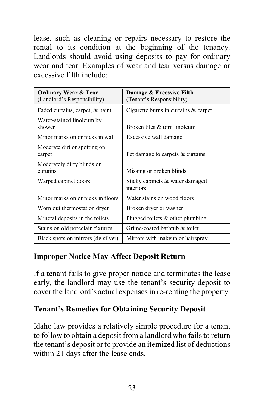lease, such as cleaning or repairs necessary to restore the rental to its condition at the beginning of the tenancy. Landlords should avoid using deposits to pay for ordinary wear and tear. Examples of wear and tear versus damage or excessive filth include:

| <b>Ordinary Wear &amp; Tear</b><br>(Landlord's Responsibility) | Damage & Excessive Filth<br>(Tenant's Responsibility) |
|----------------------------------------------------------------|-------------------------------------------------------|
| Faded curtains, carpet, & paint                                | Cigarette burns in curtains & carpet                  |
| Water-stained linoleum by<br>shower                            | Broken tiles & torn linoleum                          |
| Minor marks on or nicks in wall                                | Excessive wall damage                                 |
| Moderate dirt or spotting on<br>carpet                         | Pet damage to carpets & curtains                      |
| Moderately dirty blinds or<br>curtains                         | Missing or broken blinds                              |
| Warped cabinet doors                                           | Sticky cabinets & water damaged<br>interiors          |
| Minor marks on or nicks in floors                              | Water stains on wood floors                           |
| Worn out thermostat on dryer                                   | Broken dryer or washer                                |
| Mineral deposits in the toilets                                | Plugged toilets $\&$ other plumbing                   |
| Stains on old porcelain fixtures                               | Grime-coated bathtub & toilet                         |
| Black spots on mirrors (de-silver)                             | Mirrors with makeup or hairspray                      |

# <span id="page-27-0"></span>**Improper Notice May Affect Deposit Return**

If a tenant fails to give proper notice and terminates the lease early, the landlord may use the tenant's security deposit to cover the landlord's actual expenses in re-renting the property.

#### <span id="page-27-1"></span>**Tenant's Remedies for Obtaining Security Deposit**

Idaho law provides a relatively simple procedure for a tenant to follow to obtain a deposit from a landlord who fails to return the tenant's deposit or to provide an itemized list of deductions within 21 days after the lease ends.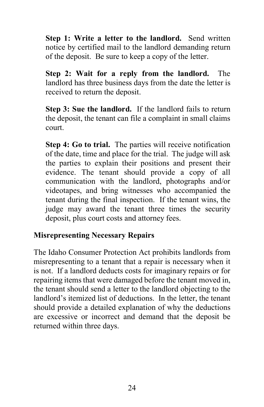**Step 1: Write a letter to the landlord.** Send written notice by certified mail to the landlord demanding return of the deposit. Be sure to keep a copy of the letter.

**Step 2: Wait for a reply from the landlord.** The landlord has three business days from the date the letter is received to return the deposit.

**Step 3: Sue the landlord.** If the landlord fails to return the deposit, the tenant can file a complaint in small claims court.

**Step 4: Go to trial.** The parties will receive notification of the date, time and place for the trial. The judge will ask the parties to explain their positions and present their evidence. The tenant should provide a copy of all communication with the landlord, photographs and/or videotapes, and bring witnesses who accompanied the tenant during the final inspection. If the tenant wins, the judge may award the tenant three times the security deposit, plus court costs and attorney fees.

#### <span id="page-28-0"></span>**Misrepresenting Necessary Repairs**

The Idaho Consumer Protection Act prohibits landlords from misrepresenting to a tenant that a repair is necessary when it is not. If a landlord deducts costs for imaginary repairs or for repairing items that were damaged before the tenant moved in, the tenant should send a letter to the landlord objecting to the landlord's itemized list of deductions. In the letter, the tenant should provide a detailed explanation of why the deductions are excessive or incorrect and demand that the deposit be returned within three days.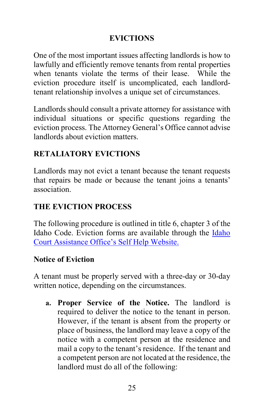#### **EVICTIONS**

<span id="page-29-0"></span>One of the most important issues affecting landlords is how to lawfully and efficiently remove tenants from rental properties when tenants violate the terms of their lease. While the eviction procedure itself is uncomplicated, each landlordtenant relationship involves a unique set of circumstances.

Landlords should consult a private attorney for assistance with individual situations or specific questions regarding the eviction process. The Attorney General's Office cannot advise landlords about eviction matters.

# <span id="page-29-1"></span>**RETALIATORY EVICTIONS**

Landlords may not evict a tenant because the tenant requests that repairs be made or because the tenant joins a tenants' association.

# <span id="page-29-2"></span>**THE EVICTION PROCESS**

The following procedure is outlined in title 6, chapter 3 of the Idaho Code. Eviction forms are available through the [Idaho](https://courtselfhelp.idaho.gov/)  [Court Assistance Office's Self Help Website.](https://courtselfhelp.idaho.gov/)

#### <span id="page-29-3"></span>**Notice of Eviction**

A tenant must be properly served with a three-day or 30-day written notice, depending on the circumstances.

**a. Proper Service of the Notice.** The landlord is required to deliver the notice to the tenant in person. However, if the tenant is absent from the property or place of business, the landlord may leave a copy of the notice with a competent person at the residence and mail a copy to the tenant's residence. If the tenant and a competent person are not located at the residence, the landlord must do all of the following: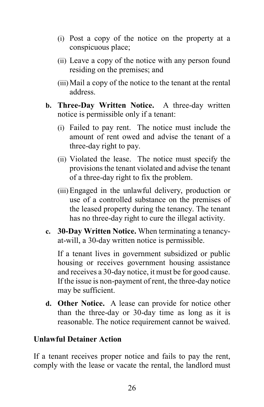- (i) Post a copy of the notice on the property at a conspicuous place;
- (ii) Leave a copy of the notice with any person found residing on the premises; and
- (iii)Mail a copy of the notice to the tenant at the rental address.
- **b. Three-Day Written Notice.** A three-day written notice is permissible only if a tenant:
	- (i) Failed to pay rent. The notice must include the amount of rent owed and advise the tenant of a three-day right to pay.
	- (ii) Violated the lease. The notice must specify the provisions the tenant violated and advise the tenant of a three-day right to fix the problem.
	- (iii)Engaged in the unlawful delivery, production or use of a controlled substance on the premises of the leased property during the tenancy. The tenant has no three-day right to cure the illegal activity.
- **c. 30-Day Written Notice.** When terminating a tenancyat-will, a 30-day written notice is permissible.

If a tenant lives in government subsidized or public housing or receives government housing assistance and receives a 30-day notice, it must be for good cause. If the issue is non-payment of rent, the three-day notice may be sufficient.

**d. Other Notice.** A lease can provide for notice other than the three-day or 30-day time as long as it is reasonable. The notice requirement cannot be waived.

#### <span id="page-30-0"></span>**Unlawful Detainer Action**

If a tenant receives proper notice and fails to pay the rent, comply with the lease or vacate the rental, the landlord must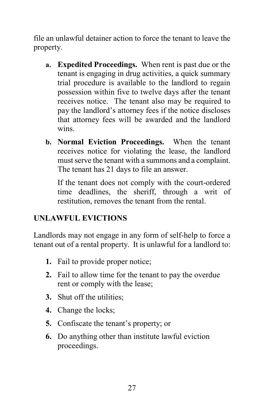file an unlawful detainer action to force the tenant to leave the property.

- **a. Expedited Proceedings.** When rent is past due or the tenant is engaging in drug activities, a quick summary trial procedure is available to the landlord to regain possession within five to twelve days after the tenant receives notice. The tenant also may be required to pay the landlord's attorney fees if the notice discloses that attorney fees will be awarded and the landlord wins.
- **b. Normal Eviction Proceedings.** When the tenant receives notice for violating the lease, the landlord must serve the tenant with a summons and a complaint. The tenant has 21 days to file an answer.

If the tenant does not comply with the court-ordered time deadlines, the sheriff, through a writ of restitution, removes the tenant from the rental.

# <span id="page-31-0"></span>**UNLAWFUL EVICTIONS**

Landlords may not engage in any form of self-help to force a tenant out of a rental property. It is unlawful for a landlord to:

- **1.** Fail to provide proper notice;
- **2.** Fail to allow time for the tenant to pay the overdue rent or comply with the lease;
- **3.** Shut off the utilities;
- **4.** Change the locks;
- **5.** Confiscate the tenant's property; or
- **6.** Do anything other than institute lawful eviction proceedings.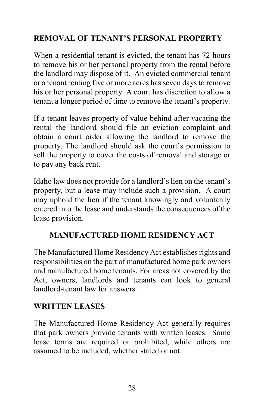# <span id="page-32-0"></span>**REMOVAL OF TENANT'S PERSONAL PROPERTY**

When a residential tenant is evicted, the tenant has 72 hours to remove his or her personal property from the rental before the landlord may dispose of it. An evicted commercial tenant or a tenant renting five or more acres has seven days to remove his or her personal property. A court has discretion to allow a tenant a longer period of time to remove the tenant's property.

If a tenant leaves property of value behind after vacating the rental the landlord should file an eviction complaint and obtain a court order allowing the landlord to remove the property. The landlord should ask the court's permission to sell the property to cover the costs of removal and storage or to pay any back rent.

Idaho law does not provide for a landlord's lien on the tenant's property, but a lease may include such a provision. A court may uphold the lien if the tenant knowingly and voluntarily entered into the lease and understands the consequences of the lease provision.

# <span id="page-32-1"></span>**MANUFACTURED HOME RESIDENCY ACT**

The Manufactured Home Residency Act establishes rights and responsibilities on the part of manufactured home park owners and manufactured home tenants. For areas not covered by the Act, owners, landlords and tenants can look to general landlord-tenant law for answers.

# <span id="page-32-2"></span>**WRITTEN LEASES**

The Manufactured Home Residency Act generally requires that park owners provide tenants with written leases. Some lease terms are required or prohibited, while others are assumed to be included, whether stated or not.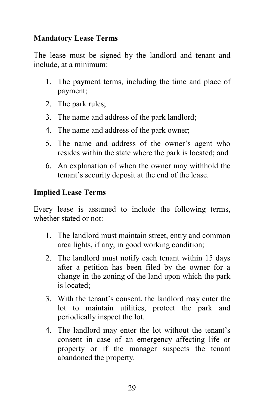#### <span id="page-33-0"></span>**Mandatory Lease Terms**

The lease must be signed by the landlord and tenant and include, at a minimum:

- 1. The payment terms, including the time and place of payment;
- 2. The park rules;
- 3. The name and address of the park landlord;
- 4. The name and address of the park owner;
- 5. The name and address of the owner's agent who resides within the state where the park is located; and
- 6. An explanation of when the owner may withhold the tenant's security deposit at the end of the lease.

# <span id="page-33-1"></span>**Implied Lease Terms**

Every lease is assumed to include the following terms, whether stated or not:

- 1. The landlord must maintain street, entry and common area lights, if any, in good working condition;
- 2. The landlord must notify each tenant within 15 days after a petition has been filed by the owner for a change in the zoning of the land upon which the park is located;
- 3. With the tenant's consent, the landlord may enter the lot to maintain utilities, protect the park and periodically inspect the lot.
- 4. The landlord may enter the lot without the tenant's consent in case of an emergency affecting life or property or if the manager suspects the tenant abandoned the property.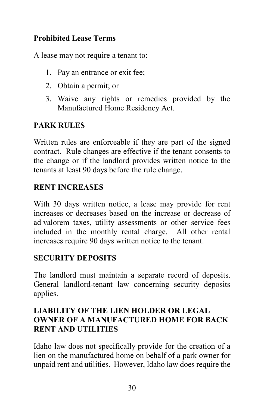# <span id="page-34-0"></span>**Prohibited Lease Terms**

A lease may not require a tenant to:

- 1. Pay an entrance or exit fee;
- 2. Obtain a permit; or
- 3. Waive any rights or remedies provided by the Manufactured Home Residency Act.

# <span id="page-34-1"></span>**PARK RULES**

Written rules are enforceable if they are part of the signed contract. Rule changes are effective if the tenant consents to the change or if the landlord provides written notice to the tenants at least 90 days before the rule change.

#### <span id="page-34-2"></span>**RENT INCREASES**

With 30 days written notice, a lease may provide for rent increases or decreases based on the increase or decrease of ad valorem taxes, utility assessments or other service fees included in the monthly rental charge. All other rental increases require 90 days written notice to the tenant.

#### <span id="page-34-3"></span>**SECURITY DEPOSITS**

The landlord must maintain a separate record of deposits. General landlord-tenant law concerning security deposits applies.

#### <span id="page-34-4"></span>**LIABILITY OF THE LIEN HOLDER OR LEGAL OWNER OF A MANUFACTURED HOME FOR BACK RENT AND UTILITIES**

Idaho law does not specifically provide for the creation of a lien on the manufactured home on behalf of a park owner for unpaid rent and utilities. However, Idaho law does require the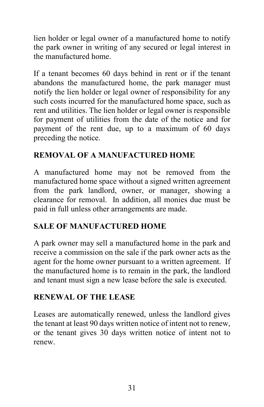lien holder or legal owner of a manufactured home to notify the park owner in writing of any secured or legal interest in the manufactured home.

If a tenant becomes 60 days behind in rent or if the tenant abandons the manufactured home, the park manager must notify the lien holder or legal owner of responsibility for any such costs incurred for the manufactured home space, such as rent and utilities. The lien holder or legal owner is responsible for payment of utilities from the date of the notice and for payment of the rent due, up to a maximum of 60 days preceding the notice.

# <span id="page-35-0"></span>**REMOVAL OF A MANUFACTURED HOME**

A manufactured home may not be removed from the manufactured home space without a signed written agreement from the park landlord, owner, or manager, showing a clearance for removal. In addition, all monies due must be paid in full unless other arrangements are made.

# <span id="page-35-1"></span>**SALE OF MANUFACTURED HOME**

A park owner may sell a manufactured home in the park and receive a commission on the sale if the park owner acts as the agent for the home owner pursuant to a written agreement. If the manufactured home is to remain in the park, the landlord and tenant must sign a new lease before the sale is executed.

# <span id="page-35-2"></span>**RENEWAL OF THE LEASE**

Leases are automatically renewed, unless the landlord gives the tenant at least 90 days written notice of intent not to renew, or the tenant gives 30 days written notice of intent not to renew.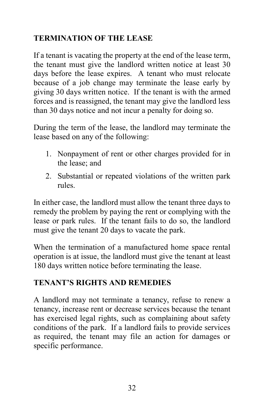# <span id="page-36-0"></span>**TERMINATION OF THE LEASE**

If a tenant is vacating the property at the end of the lease term, the tenant must give the landlord written notice at least 30 days before the lease expires. A tenant who must relocate because of a job change may terminate the lease early by giving 30 days written notice. If the tenant is with the armed forces and is reassigned, the tenant may give the landlord less than 30 days notice and not incur a penalty for doing so.

During the term of the lease, the landlord may terminate the lease based on any of the following:

- 1. Nonpayment of rent or other charges provided for in the lease; and
- 2. Substantial or repeated violations of the written park rules.

In either case, the landlord must allow the tenant three days to remedy the problem by paying the rent or complying with the lease or park rules. If the tenant fails to do so, the landlord must give the tenant 20 days to vacate the park.

When the termination of a manufactured home space rental operation is at issue, the landlord must give the tenant at least 180 days written notice before terminating the lease.

# <span id="page-36-1"></span>**TENANT'S RIGHTS AND REMEDIES**

A landlord may not terminate a tenancy, refuse to renew a tenancy, increase rent or decrease services because the tenant has exercised legal rights, such as complaining about safety conditions of the park. If a landlord fails to provide services as required, the tenant may file an action for damages or specific performance.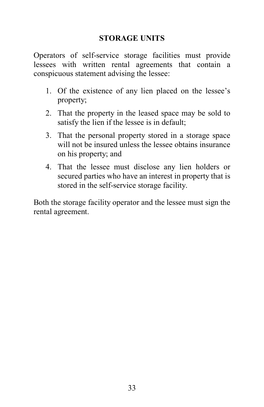#### **STORAGE UNITS**

<span id="page-37-0"></span>Operators of self-service storage facilities must provide lessees with written rental agreements that contain a conspicuous statement advising the lessee:

- 1. Of the existence of any lien placed on the lessee's property;
- 2. That the property in the leased space may be sold to satisfy the lien if the lessee is in default;
- 3. That the personal property stored in a storage space will not be insured unless the lessee obtains insurance on his property; and
- 4. That the lessee must disclose any lien holders or secured parties who have an interest in property that is stored in the self-service storage facility.

Both the storage facility operator and the lessee must sign the rental agreement.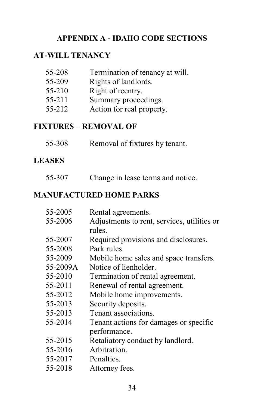#### **APPENDIX A - IDAHO CODE SECTIONS**

# <span id="page-38-1"></span><span id="page-38-0"></span>**AT-WILL TENANCY**

| 55-208 | Termination of tenancy at will. |
|--------|---------------------------------|
| 55-209 | Rights of landlords.            |
| 55-210 | Right of reentry.               |
| 55-211 | Summary proceedings.            |
| 55-212 | Action for real property.       |
|        |                                 |

# <span id="page-38-2"></span>**FIXTURES – REMOVAL OF**

| 55-308 |  | Removal of fixtures by tenant. |  |
|--------|--|--------------------------------|--|
|--------|--|--------------------------------|--|

#### <span id="page-38-3"></span>**LEASES**

# <span id="page-38-4"></span>**MANUFACTURED HOME PARKS**

| 55-2005  | Rental agreements.                          |
|----------|---------------------------------------------|
| 55-2006  | Adjustments to rent, services, utilities or |
|          | rules.                                      |
| 55-2007  | Required provisions and disclosures.        |
| 55-2008  | Park rules.                                 |
| 55-2009  | Mobile home sales and space transfers.      |
| 55-2009A | Notice of lienholder.                       |
| 55-2010  | Termination of rental agreement.            |
| 55-2011  | Renewal of rental agreement.                |
| 55-2012  | Mobile home improvements.                   |
| 55-2013  | Security deposits.                          |
| 55-2013  | Tenant associations.                        |
| 55-2014  | Tenant actions for damages or specific      |
|          | performance.                                |
| 55-2015  | Retaliatory conduct by landlord.            |
| 55-2016  | Arbitration.                                |
| 55-2017  | Penalties.                                  |
| 55-2018  | Attorney fees.                              |
|          |                                             |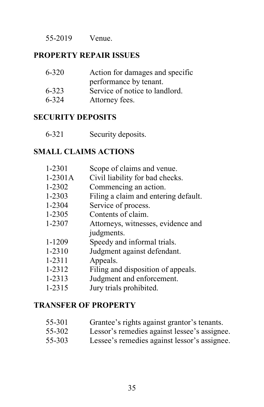55-2019 Venue.

#### <span id="page-39-0"></span>**PROPERTY REPAIR ISSUES**

| $6 - 320$ | Action for damages and specific |
|-----------|---------------------------------|
|           | performance by tenant.          |
| 6-323     | Service of notice to landlord.  |
| $6 - 324$ | Attorney fees.                  |

#### <span id="page-39-1"></span>**SECURITY DEPOSITS**

| $6 - 321$ | Security deposits. |
|-----------|--------------------|
|-----------|--------------------|

#### <span id="page-39-2"></span>**SMALL CLAIMS ACTIONS**

| 1-2301     | Scope of claims and venue.           |
|------------|--------------------------------------|
| $1-2301A$  | Civil liability for bad checks.      |
| 1-2302     | Commencing an action.                |
| 1-2303     | Filing a claim and entering default. |
| 1-2304     | Service of process.                  |
| 1-2305     | Contents of claim.                   |
| 1-2307     | Attorneys, witnesses, evidence and   |
|            | judgments.                           |
| 1-1209     | Speedy and informal trials.          |
| 1-2310     | Judgment against defendant.          |
| $1 - 2311$ | Appeals.                             |
| 1-2312     | Filing and disposition of appeals.   |
| 1-2313     | Judgment and enforcement.            |
| 1-2315     |                                      |
|            | Jury trials prohibited.              |

#### <span id="page-39-3"></span>**TRANSFER OF PROPERTY**

| 55-301                  | Grantee's rights against grantor's tenants. |  |  |  |
|-------------------------|---------------------------------------------|--|--|--|
| $\epsilon \epsilon$ and |                                             |  |  |  |

- 55-302 Lessor's remedies against lessee's assignee.
- 55-303 Lessee's remedies against lessor's assignee.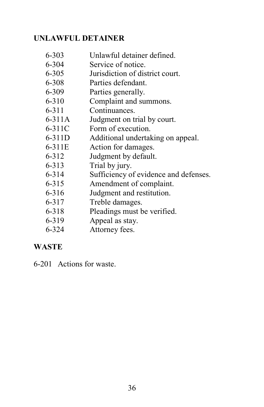#### <span id="page-40-0"></span>**UNLAWFUL DETAINER**

- 6-303 Unlawful detainer defined.
- 6-304 Service of notice.
- 6-305 Jurisdiction of district court.
- 6-308 Parties defendant.
- 6-309 Parties generally.
- 6-310 Complaint and summons.
- 6-311 Continuances.
- 6-311A Judgment on trial by court.
- 6-311C Form of execution.
- 6-311D Additional undertaking on appeal.
- 6-311E Action for damages.
- 6-312 Judgment by default.
- 6-313 Trial by jury.
- 6-314 Sufficiency of evidence and defenses.
- 6-315 Amendment of complaint.
- 6-316 Judgment and restitution.
- 6-317 Treble damages.
- 6-318 Pleadings must be verified.
- 6-319 Appeal as stay.
- 6-324 Attorney fees.

#### <span id="page-40-1"></span>**WASTE**

6-201 Actions for waste.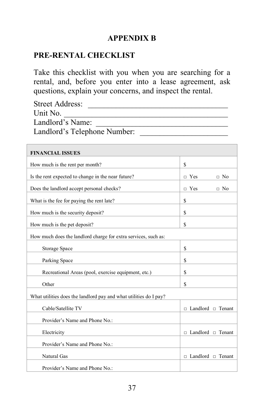#### **APPENDIX B**

#### <span id="page-41-1"></span><span id="page-41-0"></span>**PRE-RENTAL CHECKLIST**

Take this checklist with you when you are searching for a rental, and, before you enter into a lease agreement, ask questions, explain your concerns, and inspect the rental.

| Street Address:              |
|------------------------------|
| Unit No.                     |
| Landlord's Name:             |
| Landlord's Telephone Number: |
|                              |

| <b>FINANCIAL ISSUES</b>                                           |                               |
|-------------------------------------------------------------------|-------------------------------|
| How much is the rent per month?                                   | \$                            |
| Is the rent expected to change in the near future?                | $\Box$ Yes<br>$\Box$ No       |
| Does the landlord accept personal checks?                         | $\Box$ Yes<br>$\Box$ No       |
| What is the fee for paying the rent late?                         | \$                            |
| How much is the security deposit?                                 | \$                            |
| How much is the pet deposit?                                      | \$                            |
| How much does the landlord charge for extra services, such as:    |                               |
| Storage Space                                                     | \$                            |
| Parking Space                                                     | \$                            |
| Recreational Areas (pool, exercise equipment, etc.)               | \$                            |
| Other                                                             | \$                            |
| What utilities does the landlord pay and what utilities do I pay? |                               |
| Cable/Satellite TV                                                | $\Box$ Landlord $\Box$ Tenant |
| Provider's Name and Phone No.:                                    |                               |
| Electricity                                                       | $\Box$ Landlord $\Box$ Tenant |
| Provider's Name and Phone No.:                                    |                               |
| Natural Gas                                                       | $\Box$ Landlord $\Box$ Tenant |
| Provider's Name and Phone No.:                                    |                               |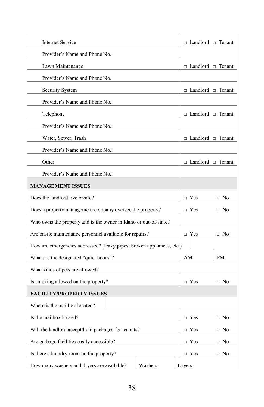| Internet Service                                                      |            |            | □ Landlord □ Tenant           |
|-----------------------------------------------------------------------|------------|------------|-------------------------------|
| Provider's Name and Phone No.:                                        |            |            |                               |
| Lawn Maintenance                                                      |            |            | □ Landlord □ Tenant           |
| Provider's Name and Phone No.:                                        |            |            |                               |
| Security System                                                       |            |            | $\Box$ Landlord $\Box$ Tenant |
| Provider's Name and Phone No.:                                        |            |            |                               |
| Telephone                                                             |            |            | □ Landlord □ Tenant           |
| Provider's Name and Phone No.:                                        |            |            |                               |
| Water, Sewer, Trash                                                   |            |            | □ Landlord □ Tenant           |
| Provider's Name and Phone No.:                                        |            |            |                               |
| Other:                                                                |            |            | □ Landlord □ Tenant           |
| Provider's Name and Phone No.:                                        |            |            |                               |
| <b>MANAGEMENT ISSUES</b>                                              |            |            |                               |
| Does the landlord live onsite?                                        |            | $\Box$ Yes | $\Box$ No                     |
| Does a property management company oversee the property?              |            | $\Box$ Yes | $\Box$ No                     |
| Who owns the property and is the owner in Idaho or out-of-state?      |            |            |                               |
| Are onsite maintenance personnel available for repairs?               |            | $\Box$ Yes | $\Box$ No                     |
| How are emergencies addressed? (leaky pipes; broken appliances, etc.) |            |            |                               |
| What are the designated "quiet hours"?                                |            | AM:        | PM:                           |
| What kinds of pets are allowed?                                       |            |            |                               |
| Is smoking allowed on the property?                                   |            | $\Box$ Yes | $\Box$ No                     |
| <b>FACILITY/PROPERTY ISSUES</b>                                       |            |            |                               |
| Where is the mailbox located?                                         |            |            |                               |
| Is the mailbox locked?                                                |            | $\Box$ Yes | $\Box$ No                     |
| Will the landlord accept/hold packages for tenants?                   | $\Box$ Yes | $\Box$ No  |                               |
| Are garbage facilities easily accessible?                             | $\Box$ Yes | $\Box$ No  |                               |
| Is there a laundry room on the property?                              | $\Box$ Yes | $\Box$ No  |                               |
| How many washers and dryers are available?                            | Washers:   | Dryers:    |                               |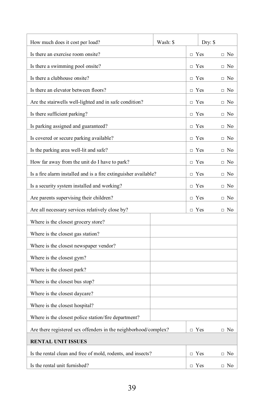| How much does it cost per load?                                 | Wash: \$ |            | Dry: \$ |           |
|-----------------------------------------------------------------|----------|------------|---------|-----------|
| Is there an exercise room onsite?                               |          | $\Box$ Yes |         | $\Box$ No |
| Is there a swimming pool onsite?                                |          | $\Box$ Yes |         | $\Box$ No |
| Is there a clubhouse onsite?                                    |          | $\Box$ Yes |         | $\Box$ No |
| Is there an elevator between floors?                            |          | $\neg$ Yes |         | $\Box$ No |
| Are the stairwells well-lighted and in safe condition?          |          | $\Box$ Yes |         | $\Box$ No |
| Is there sufficient parking?                                    |          | $\Box$ Yes |         | $\Box$ No |
| Is parking assigned and guaranteed?                             |          | $\Box$ Yes |         | $\Box$ No |
| Is covered or secure parking available?                         |          | $\Box$ Yes |         | $\Box$ No |
| Is the parking area well-lit and safe?                          |          | $\Box$ Yes |         | $\Box$ No |
| How far away from the unit do I have to park?                   |          | $\Box$ Yes |         | $\Box$ No |
| Is a fire alarm installed and is a fire extinguisher available? |          | $\Box$ Yes |         | $\Box$ No |
| Is a security system installed and working?                     |          | $\Box$ Yes |         | $\Box$ No |
| Are parents supervising their children?                         |          | $\Box$ Yes |         | $\Box$ No |
| Are all necessary services relatively close by?                 |          | $\Box$ Yes |         | $\Box$ No |
| Where is the closest grocery store?                             |          |            |         |           |
| Where is the closest gas station?                               |          |            |         |           |
| Where is the closest newspaper vendor?                          |          |            |         |           |
| Where is the closest gym?                                       |          |            |         |           |
| Where is the closest park?                                      |          |            |         |           |
| Where is the closest bus stop?                                  |          |            |         |           |
| Where is the closest daycare?                                   |          |            |         |           |
| Where is the closest hospital?                                  |          |            |         |           |
| Where is the closest police station/fire department?            |          |            |         |           |
| Are there registered sex offenders in the neighborhood/complex? |          | $\Box$ Yes |         | $\Box$ No |
| <b>RENTAL UNIT ISSUES</b>                                       |          |            |         |           |
| Is the rental clean and free of mold, rodents, and insects?     |          | $\Box$ Yes |         | $\Box$ No |
| Is the rental unit furnished?                                   |          | $\Box$ Yes |         | $\Box$ No |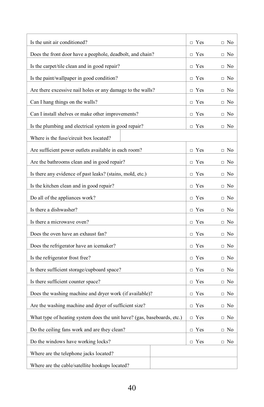| Is the unit air conditioned?                                            | $\Box$ Yes | $\Box$ No |
|-------------------------------------------------------------------------|------------|-----------|
| Does the front door have a peephole, deadbolt, and chain?               | $\Box$ Yes | $\Box$ No |
| Is the carpet/tile clean and in good repair?                            | $\Box$ Yes | $\Box$ No |
| Is the paint/wallpaper in good condition?                               | $\Box$ Yes | $\Box$ No |
| Are there excessive nail holes or any damage to the walls?              | $\Box$ Yes | $\Box$ No |
| Can I hang things on the walls?                                         | $\Box$ Yes | $\Box$ No |
| Can I install shelves or make other improvements?                       | $\Box$ Yes | $\Box$ No |
| Is the plumbing and electrical system in good repair?                   | $\Box$ Yes | $\Box$ No |
| Where is the fuse/circuit box located?                                  |            |           |
| Are sufficient power outlets available in each room?                    | $\Box$ Yes | $\Box$ No |
| Are the bathrooms clean and in good repair?                             | $\Box$ Yes | $\Box$ No |
| Is there any evidence of past leaks? (stains, mold, etc.)               | $\Box$ Yes | $\Box$ No |
| Is the kitchen clean and in good repair?                                | $\Box$ Yes | $\Box$ No |
| Do all of the appliances work?                                          | $\Box$ Yes | □ No      |
| Is there a dishwasher?                                                  | $\Box$ Yes | $\Box$ No |
| Is there a microwave oven?                                              | $\Box$ Yes | $\Box$ No |
| Does the oven have an exhaust fan?                                      | $\Box$ Yes | $\Box$ No |
| Does the refrigerator have an icemaker?                                 | $\Box$ Yes | $\Box$ No |
| Is the refrigerator frost free?                                         | $\Box$ Yes | $\Box$ No |
| Is there sufficient storage/cupboard space?                             | $\Box$ Yes | $\Box$ No |
| Is there sufficient counter space?                                      | $\Box$ Yes | $\Box$ No |
| Does the washing machine and dryer work (if available)?                 | $\Box$ Yes | $\Box$ No |
| Are the washing machine and dryer of sufficient size?                   | $\Box$ Yes | $\Box$ No |
| What type of heating system does the unit have? (gas, baseboards, etc.) | $\Box$ Yes | $\Box$ No |
| Do the ceiling fans work and are they clean?                            | $\Box$ Yes | $\Box$ No |
| Do the windows have working locks?                                      | $\Box$ Yes | $\Box$ No |
| Where are the telephone jacks located?                                  |            |           |
| Where are the cable/satellite hookups located?                          |            |           |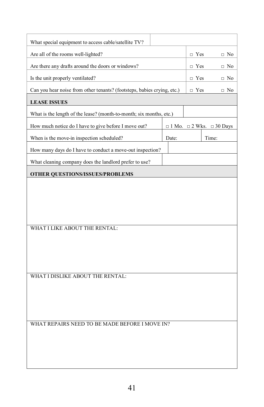| What special equipment to access cable/satellite TV?                    |       |            |                                           |
|-------------------------------------------------------------------------|-------|------------|-------------------------------------------|
| Are all of the rooms well-lighted?                                      |       | $\Box$ Yes | $\Box$ No                                 |
| Are there any drafts around the doors or windows?                       |       | $\Box$ Yes | $\Box$ No                                 |
| Is the unit properly ventilated?                                        |       | $\Box$ Yes | $\Box$ No                                 |
| Can you hear noise from other tenants? (footsteps, babies crying, etc.) |       | $\Box$ Yes | $\Box$ No                                 |
| <b>LEASE ISSUES</b>                                                     |       |            |                                           |
| What is the length of the lease? (month-to-month; six months, etc.)     |       |            |                                           |
| How much notice do I have to give before I move out?                    |       |            | $\Box$ 1 Mo. $\Box$ 2 Wks. $\Box$ 30 Days |
| When is the move-in inspection scheduled?                               | Date: |            | Time:                                     |
| How many days do I have to conduct a move-out inspection?               |       |            |                                           |
| What cleaning company does the landlord prefer to use?                  |       |            |                                           |
| <b>OTHER QUESTIONS/ISSUES/PROBLEMS</b>                                  |       |            |                                           |
|                                                                         |       |            |                                           |
|                                                                         |       |            |                                           |
|                                                                         |       |            |                                           |
|                                                                         |       |            |                                           |
| WHAT I LIKE ABOUT THE RENTAL:                                           |       |            |                                           |
|                                                                         |       |            |                                           |
|                                                                         |       |            |                                           |
|                                                                         |       |            |                                           |
| WHAT I DISLIKE ABOUT THE RENTAL:                                        |       |            |                                           |
|                                                                         |       |            |                                           |
|                                                                         |       |            |                                           |
|                                                                         |       |            |                                           |
| WHAT REPAIRS NEED TO BE MADE BEFORE I MOVE IN?                          |       |            |                                           |
|                                                                         |       |            |                                           |
|                                                                         |       |            |                                           |
|                                                                         |       |            |                                           |
|                                                                         |       |            |                                           |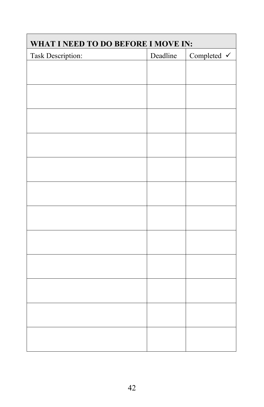| WHAT I NEED TO DO BEFORE I MOVE IN: |          |             |  |  |  |
|-------------------------------------|----------|-------------|--|--|--|
| <b>Task Description:</b>            | Deadline | Completed V |  |  |  |
|                                     |          |             |  |  |  |
|                                     |          |             |  |  |  |
|                                     |          |             |  |  |  |
|                                     |          |             |  |  |  |
|                                     |          |             |  |  |  |
|                                     |          |             |  |  |  |
|                                     |          |             |  |  |  |
|                                     |          |             |  |  |  |
|                                     |          |             |  |  |  |
|                                     |          |             |  |  |  |
|                                     |          |             |  |  |  |
|                                     |          |             |  |  |  |
|                                     |          |             |  |  |  |
|                                     |          |             |  |  |  |
|                                     |          |             |  |  |  |
|                                     |          |             |  |  |  |
|                                     |          |             |  |  |  |
|                                     |          |             |  |  |  |
|                                     |          |             |  |  |  |
|                                     |          |             |  |  |  |
|                                     |          |             |  |  |  |
|                                     |          |             |  |  |  |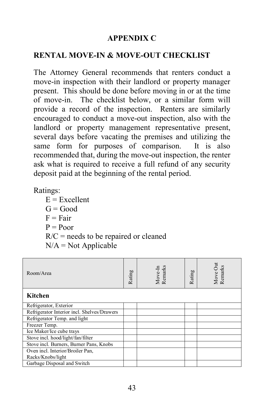#### **APPENDIX C**

#### <span id="page-47-1"></span><span id="page-47-0"></span>**RENTAL MOVE-IN & MOVE-OUT CHECKLIST**

The Attorney General recommends that renters conduct a move-in inspection with their landlord or property manager present. This should be done before moving in or at the time of move-in. The checklist below, or a similar form will provide a record of the inspection. Renters are similarly encouraged to conduct a move-out inspection, also with the landlord or property management representative present, several days before vacating the premises and utilizing the same form for purposes of comparison. It is also recommended that, during the move-out inspection, the renter ask what is required to receive a full refund of any security deposit paid at the beginning of the rental period.

Ratings:

| $E =$ Excellent                         |
|-----------------------------------------|
| $G = Good$                              |
| $F = Fair$                              |
| $P = Poor$                              |
| $R/C$ = needs to be repaired or cleaned |
| $N/A = Not Applicable$                  |

| Room/Area                                   | Rating | Remarks<br>Move-In | Rating | Move Out<br>Remarks |
|---------------------------------------------|--------|--------------------|--------|---------------------|
| Kitchen                                     |        |                    |        |                     |
| Refrigerator, Exterior                      |        |                    |        |                     |
| Refrigerator Interior incl. Shelves/Drawers |        |                    |        |                     |
| Refrigerator Temp. and light                |        |                    |        |                     |
| Freezer Temp.                               |        |                    |        |                     |
| Ice Maker/Ice cube trays                    |        |                    |        |                     |
| Stove incl. hood/light/fan/filter           |        |                    |        |                     |
| Stove incl. Burners, Burner Pans, Knobs     |        |                    |        |                     |
| Oven incl. Interior/Broiler Pan,            |        |                    |        |                     |
| Racks/Knobs/light                           |        |                    |        |                     |
| Garbage Disposal and Switch                 |        |                    |        |                     |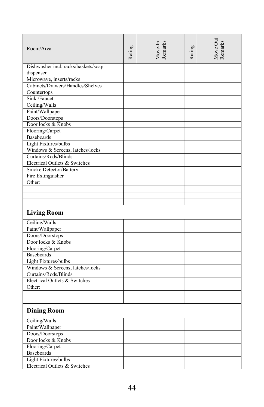| Room/Area                           | Rating | Move-In<br>Remarks | Rating | Move Out<br>Remarks |
|-------------------------------------|--------|--------------------|--------|---------------------|
| Dishwasher incl. racks/baskets/soap |        |                    |        |                     |
| dispenser                           |        |                    |        |                     |
| Microwave, inserts/racks            |        |                    |        |                     |
| Cabinets/Drawers/Handles/Shelves    |        |                    |        |                     |
| Countertops                         |        |                    |        |                     |
| Sink /Faucet                        |        |                    |        |                     |
| Ceiling/Walls                       |        |                    |        |                     |
| Paint/Wallpaper                     |        |                    |        |                     |
| Doors/Doorstops                     |        |                    |        |                     |
| Door locks & Knobs                  |        |                    |        |                     |
| Flooring/Carpet                     |        |                    |        |                     |
| <b>Baseboards</b>                   |        |                    |        |                     |
| Light Fixtures/bulbs                |        |                    |        |                     |
| Windows & Screens, latches/locks    |        |                    |        |                     |
| Curtains/Rods/Blinds                |        |                    |        |                     |
| Electrical Outlets & Switches       |        |                    |        |                     |
| Smoke Detector/Battery              |        |                    |        |                     |
| Fire Extinguisher                   |        |                    |        |                     |
| Other:                              |        |                    |        |                     |
|                                     |        |                    |        |                     |
|                                     |        |                    |        |                     |
|                                     |        |                    |        |                     |
| <b>Living Room</b>                  |        |                    |        |                     |
| Ceiling/Walls                       |        |                    |        |                     |
| Paint/Wallpaper                     |        |                    |        |                     |
| Doors/Doorstops                     |        |                    |        |                     |
| Door locks & Knobs                  |        |                    |        |                     |
| Flooring/Carpet                     |        |                    |        |                     |
| <b>Baseboards</b>                   |        |                    |        |                     |
| Light Fixtures/bulbs                |        |                    |        |                     |
| Windows & Screens, latches/locks    |        |                    |        |                     |
| Curtains/Rods/Blinds                |        |                    |        |                     |
| Electrical Outlets & Switches       |        |                    |        |                     |
| Other:                              |        |                    |        |                     |
|                                     |        |                    |        |                     |
|                                     |        |                    |        |                     |
| <b>Dining Room</b>                  |        |                    |        |                     |
| Ceiling/Walls                       |        |                    |        |                     |
| Paint/Wallpaper                     |        |                    |        |                     |
| Doors/Doorstops                     |        |                    |        |                     |
| Door locks & Knobs                  |        |                    |        |                     |
| Flooring/Carpet                     |        |                    |        |                     |
| <b>Baseboards</b>                   |        |                    |        |                     |
| Light Fixtures/bulbs                |        |                    |        |                     |
| Electrical Outlets & Switches       |        |                    |        |                     |
|                                     |        |                    |        |                     |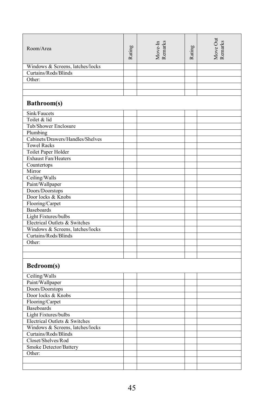| Room/Area                        | Rating | Move-In<br>Remarks | Rating | Move Out<br>Remarks |
|----------------------------------|--------|--------------------|--------|---------------------|
| Windows & Screens, latches/locks |        |                    |        |                     |
| Curtains/Rods/Blinds             |        |                    |        |                     |
| Other:                           |        |                    |        |                     |
|                                  |        |                    |        |                     |
|                                  |        |                    |        |                     |
| Bathroom(s)                      |        |                    |        |                     |
| Sink/Faucets                     |        |                    |        |                     |
| Toilet & lid                     |        |                    |        |                     |
| Tub/Shower Enclosure             |        |                    |        |                     |
| Plumbing                         |        |                    |        |                     |
| Cabinets/Drawers/Handles/Shelves |        |                    |        |                     |
| <b>Towel Racks</b>               |        |                    |        |                     |
| Toilet Paper Holder              |        |                    |        |                     |
| Exhaust Fan/Heaters              |        |                    |        |                     |
| Countertops                      |        |                    |        |                     |
| Mirror                           |        |                    |        |                     |
| Ceiling/Walls                    |        |                    |        |                     |
| Paint/Wallpaper                  |        |                    |        |                     |
| Doors/Doorstops                  |        |                    |        |                     |
| Door locks & Knobs               |        |                    |        |                     |
| Flooring/Carpet                  |        |                    |        |                     |
| <b>Baseboards</b>                |        |                    |        |                     |
| Light Fixtures/bulbs             |        |                    |        |                     |
| Electrical Outlets & Switches    |        |                    |        |                     |
| Windows & Screens, latches/locks |        |                    |        |                     |
| Curtains/Rods/Blinds             |        |                    |        |                     |
| Other:                           |        |                    |        |                     |
|                                  |        |                    |        |                     |
|                                  |        |                    |        |                     |
| Bedroom(s)                       |        |                    |        |                     |
| Ceiling/Walls                    |        |                    |        |                     |
| Paint/Wallpaper                  |        |                    |        |                     |
| Doors/Doorstops                  |        |                    |        |                     |
| Door locks & Knobs               |        |                    |        |                     |
| Flooring/Carpet                  |        |                    |        |                     |
| <b>Baseboards</b>                |        |                    |        |                     |
| Light Fixtures/bulbs             |        |                    |        |                     |
| Electrical Outlets & Switches    |        |                    |        |                     |
| Windows & Screens, latches/locks |        |                    |        |                     |
| Curtains/Rods/Blinds             |        |                    |        |                     |
| Closet/Shelves/Rod               |        |                    |        |                     |
| Smoke Detector/Battery           |        |                    |        |                     |
| Other:                           |        |                    |        |                     |
|                                  |        |                    |        |                     |
|                                  |        |                    |        |                     |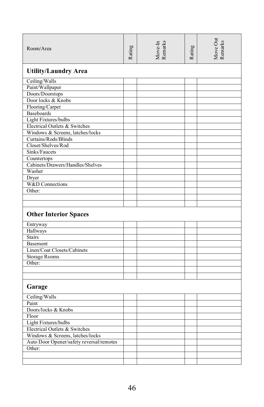| Room/Area                                | Rating | Move-In<br>Remarks | Rating | Move Out<br>Remarks |
|------------------------------------------|--------|--------------------|--------|---------------------|
| <b>Utility/Laundry Area</b>              |        |                    |        |                     |
| Ceiling/Walls                            |        |                    |        |                     |
| Paint/Wallpaper                          |        |                    |        |                     |
| Doors/Doorstops                          |        |                    |        |                     |
| Door locks & Knobs                       |        |                    |        |                     |
| Flooring/Carpet                          |        |                    |        |                     |
| <b>Baseboards</b>                        |        |                    |        |                     |
| Light Fixtures/bulbs                     |        |                    |        |                     |
| Electrical Outlets & Switches            |        |                    |        |                     |
| Windows & Screens, latches/locks         |        |                    |        |                     |
| Curtains/Rods/Blinds                     |        |                    |        |                     |
| Closet/Shelves/Rod                       |        |                    |        |                     |
| Sinks/Faucets                            |        |                    |        |                     |
| Countertops                              |        |                    |        |                     |
| Cabinets/Drawers/Handles/Shelves         |        |                    |        |                     |
| Washer                                   |        |                    |        |                     |
| Dryer                                    |        |                    |        |                     |
| W&D Connections                          |        |                    |        |                     |
| Other:                                   |        |                    |        |                     |
|                                          |        |                    |        |                     |
|                                          |        |                    |        |                     |
| <b>Other Interior Spaces</b>             |        |                    |        |                     |
| Entryway                                 |        |                    |        |                     |
| Hallways                                 |        |                    |        |                     |
| <b>Stairs</b>                            |        |                    |        |                     |
| Basement                                 |        |                    |        |                     |
| Linen/Coat Closets/Cabinets              |        |                    |        |                     |
| <b>Storage Rooms</b>                     |        |                    |        |                     |
| Other:                                   |        |                    |        |                     |
|                                          |        |                    |        |                     |
|                                          |        |                    |        |                     |
| Garage                                   |        |                    |        |                     |
| Ceiling/Walls                            |        |                    |        |                     |
| Paint                                    |        |                    |        |                     |
| Doors/locks & Knobs                      |        |                    |        |                     |
| Floor                                    |        |                    |        |                     |
| Light Fixtures/bulbs                     |        |                    |        |                     |
| Electrical Outlets & Switches            |        |                    |        |                     |
| Windows & Screens, latches/locks         |        |                    |        |                     |
| Auto Door Opener/safety reversal/remotes |        |                    |        |                     |
| Other:                                   |        |                    |        |                     |
|                                          |        |                    |        |                     |
|                                          |        |                    |        |                     |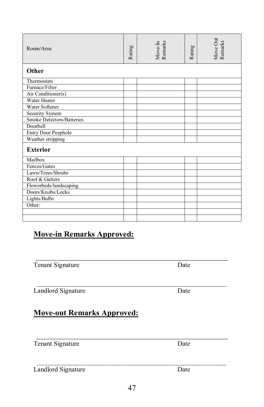| Room/Area                        | Rating | Move-In<br>Remarks | Rating | Move Out<br>Remarks |
|----------------------------------|--------|--------------------|--------|---------------------|
| Other                            |        |                    |        |                     |
| Thermostats                      |        |                    |        |                     |
| Furnace/Filter                   |        |                    |        |                     |
| Air Conditioner(s)               |        |                    |        |                     |
| Water Heater                     |        |                    |        |                     |
| Water Softener                   |        |                    |        |                     |
| Security System                  |        |                    |        |                     |
| <b>Smoke Detectors/Batteries</b> |        |                    |        |                     |
| Doorbell                         |        |                    |        |                     |
| <b>Entry Door Peephole</b>       |        |                    |        |                     |
| Weather stripping                |        |                    |        |                     |
| <b>Exterior</b>                  |        |                    |        |                     |
| Mailbox                          |        |                    |        |                     |
| Fences/Gates                     |        |                    |        |                     |
| Lawn/Trees/Shrubs                |        |                    |        |                     |
| Roof & Gutters                   |        |                    |        |                     |
| Flowerbeds/landscaping           |        |                    |        |                     |
| Doors/Knobs/Locks                |        |                    |        |                     |
| Lights/Bulbs                     |        |                    |        |                     |
| Other:                           |        |                    |        |                     |
|                                  |        |                    |        |                     |
|                                  |        |                    |        |                     |
| <b>Move-in Remarks Approved:</b> |        |                    |        |                     |

Tenant Signature Date

Landlord Signature Date

# **Move-out Remarks Approved:**

\_\_\_\_\_\_\_\_\_\_\_\_\_\_\_\_\_\_\_\_\_\_\_\_\_\_\_\_\_\_\_\_\_\_\_\_\_\_\_\_\_\_\_\_\_\_\_\_\_\_\_\_\_\_\_\_\_

 $\mathcal{L}_\mathcal{L}$